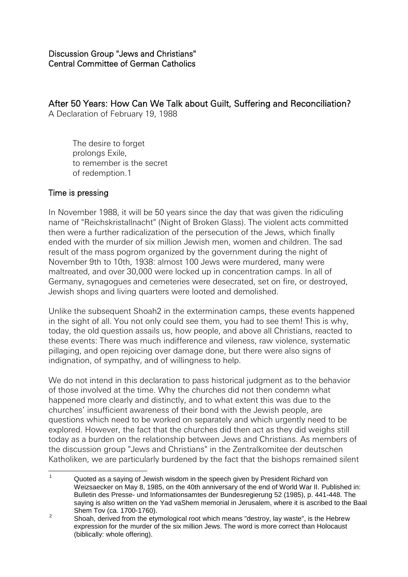After 50 Years: How Can We Talk about Guilt, Suffering and Reconciliation? A Declaration of February 19, 1988

The desire to forget prolongs Exile, to remember is the secret of redemption.1

#### Time is pressing

In November 1988, it will be 50 years since the day that was given the ridiculing name of "Reichskristallnacht" (Night of Broken Glass). The violent acts committed then were a further radicalization of the persecution of the Jews, which finally ended with the murder of six million Jewish men, women and children. The sad result of the mass pogrom organized by the government during the night of November 9th to 10th, 1938: almost 100 Jews were murdered, many were maltreated, and over 30,000 were locked up in concentration camps. In all of Germany, synagogues and cemeteries were desecrated, set on fire, or destroyed, Jewish shops and living quarters were looted and demolished.

Unlike the subsequent Shoah2 in the extermination camps, these events happened in the sight of all. You not only could see them, you had to see them! This is why, today, the old question assails us, how people, and above all Christians, reacted to these events: There was much indifference and vileness, raw violence, systematic pillaging, and open rejoicing over damage done, but there were also signs of indignation, of sympathy, and of willingness to help.

We do not intend in this declaration to pass historical judgment as to the behavior of those involved at the time. Why the churches did not then condemn what happened more clearly and distinctly, and to what extent this was due to the churches' insufficient awareness of their bond with the Jewish people, are questions which need to be worked on separately and which urgently need to be explored. However, the fact that the churches did then act as they did weighs still today as a burden on the relationship between Jews and Christians. As members of the discussion group "Jews and Christians" in the Zentralkomitee der deutschen Katholiken, we are particularly burdened by the fact that the bishops remained silent

 $\overline{1}$ Quoted as a saying of Jewish wisdom in the speech given by President Richard von Weizsaecker on May 8, 1985, on the 40th anniversary of the end of World War II. Published in: Bulletin des Presse- und Informationsamtes der Bundesregierung 52 (1985), p. 441-448. The saying is also written on the Yad vaShem memorial in Jerusalem, where it is ascribed to the Baal Shem Tov (ca. 1700-1760).

 $\mathfrak{p}$ Shoah, derived from the etymological root which means "destroy, lay waste", is the Hebrew expression for the murder of the six million Jews. The word is more correct than Holocaust (biblically: whole offering).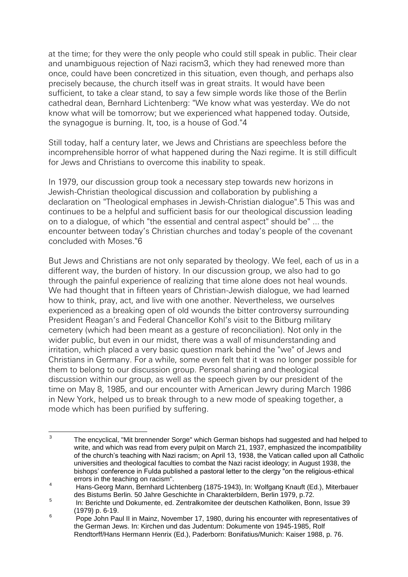at the time; for they were the only people who could still speak in public. Their clear and unambiguous rejection of Nazi racism3, which they had renewed more than once, could have been concretized in this situation, even though, and perhaps also precisely because, the church itself was in great straits. It would have been sufficient, to take a clear stand, to say a few simple words like those of the Berlin cathedral dean, Bernhard Lichtenberg: "We know what was yesterday. We do not know what will be tomorrow; but we experienced what happened today. Outside, the synagogue is burning. It, too, is a house of God."4

Still today, half a century later, we Jews and Christians are speechless before the incomprehensible horror of what happened during the Nazi regime. It is still difficult for Jews and Christians to overcome this inability to speak.

In 1979, our discussion group took a necessary step towards new horizons in Jewish-Christian theological discussion and collaboration by publishing a declaration on "Theological emphases in Jewish-Christian dialogue".5 This was and continues to be a helpful and sufficient basis for our theological discussion leading on to a dialogue, of which "the essential and central aspect" should be" ... the encounter between today's Christian churches and today's people of the covenant concluded with Moses."6

But Jews and Christians are not only separated by theology. We feel, each of us in a different way, the burden of history. In our discussion group, we also had to go through the painful experience of realizing that time alone does not heal wounds. We had thought that in fifteen years of Christian-Jewish dialogue, we had learned how to think, pray, act, and live with one another. Nevertheless, we ourselves experienced as a breaking open of old wounds the bitter controversy surrounding President Reagan's and Federal Chancellor Kohl's visit to the Bitburg military cemetery (which had been meant as a gesture of reconciliation). Not only in the wider public, but even in our midst, there was a wall of misunderstanding and irritation, which placed a very basic question mark behind the "we" of Jews and Christians in Germany. For a while, some even felt that it was no longer possible for them to belong to our discussion group. Personal sharing and theological discussion within our group, as well as the speech given by our president of the time on May 8, 1985, and our encounter with American Jewry during March 1986 in New York, helped us to break through to a new mode of speaking together, a mode which has been purified by suffering.

 $\frac{1}{3}$ The encyclical, "Mit brennender Sorge" which German bishops had suggested and had helped to write, and which was read from every pulpit on March 21, 1937, emphasized the incompatibility of the church's teaching with Nazi racism; on April 13, 1938, the Vatican called upon all Catholic universities and theological faculties to combat the Nazi racist ideology; in August 1938, the bishops' conference in Fulda published a pastoral letter to the clergy "on the religious-ethical errors in the teaching on racism".

<sup>4</sup> Hans-Georg Mann, Bernhard Lichtenberg (1875-1943), In: Wolfgang Knauft (Ed.), Miterbauer des Bistums Berlin. 50 Jahre Geschichte in Charakterbildern, Berlin 1979, p.72.

<sup>5</sup> In: Berichte und Dokumente, ed. Zentralkomitee der deutschen Katholiken, Bonn, Issue 39 (1979) p. 6-19. 6

Pope John Paul II in Mainz, November 17, 1980, during his encounter with representatives of the German Jews. In: Kirchen und das Judentum: Dokumente von 1945-1985, Rolf Rendtorff/Hans Hermann Henrix (Ed.), Paderborn: Bonifatius/Munich: Kaiser 1988, p. 76.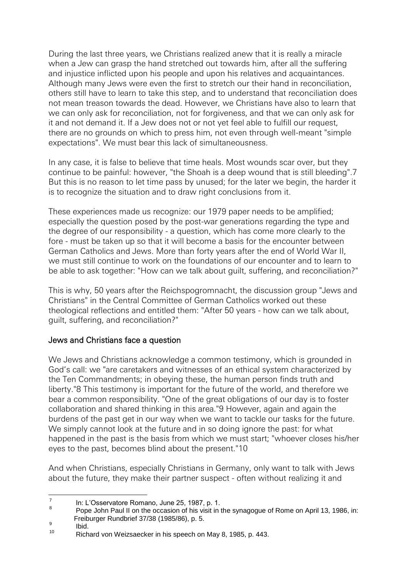During the last three years, we Christians realized anew that it is really a miracle when a Jew can grasp the hand stretched out towards him, after all the suffering and injustice inflicted upon his people and upon his relatives and acquaintances. Although many Jews were even the first to stretch our their hand in reconciliation, others still have to learn to take this step, and to understand that reconciliation does not mean treason towards the dead. However, we Christians have also to learn that we can only ask for reconciliation, not for forgiveness, and that we can only ask for it and not demand it. If a Jew does not or not yet feel able to fulfill our request, there are no grounds on which to press him, not even through well-meant "simple expectations". We must bear this lack of simultaneousness.

In any case, it is false to believe that time heals. Most wounds scar over, but they continue to be painful: however, "the Shoah is a deep wound that is still bleeding".7 But this is no reason to let time pass by unused; for the later we begin, the harder it is to recognize the situation and to draw right conclusions from it.

These experiences made us recognize: our 1979 paper needs to be amplified; especially the question posed by the post-war generations regarding the type and the degree of our responsibility - a question, which has come more clearly to the fore - must be taken up so that it will become a basis for the encounter between German Catholics and Jews. More than forty years after the end of World War II, we must still continue to work on the foundations of our encounter and to learn to be able to ask together: "How can we talk about guilt, suffering, and reconciliation?"

This is why, 50 years after the Reichspogromnacht, the discussion group "Jews and Christians" in the Central Committee of German Catholics worked out these theological reflections and entitled them: "After 50 years - how can we talk about, guilt, suffering, and reconciliation?"

# Jews and Christians face a question

We Jews and Christians acknowledge a common testimony, which is grounded in God's call: we "are caretakers and witnesses of an ethical system characterized by the Ten Commandments; in obeying these, the human person finds truth and liberty."8 This testimony is important for the future of the world, and therefore we bear a common responsibility. "One of the great obligations of our day is to foster collaboration and shared thinking in this area."9 However, again and again the burdens of the past get in our way when we want to tackle our tasks for the future. We simply cannot look at the future and in so doing ignore the past: for what happened in the past is the basis from which we must start; "whoever closes his/her eyes to the past, becomes blind about the present."10

And when Christians, especially Christians in Germany, only want to talk with Jews about the future, they make their partner suspect - often without realizing it and

Ibid.

 $\frac{1}{7}$ In: L'Osservatore Romano, June 25, 1987, p. 1.

<sup>8</sup> Pope John Paul II on the occasion of his visit in the synagogue of Rome on April 13, 1986, in: Freiburger Rundbrief 37/38 (1985/86), p. 5.  $\alpha$ 

<sup>10</sup> Richard von Weizsaecker in his speech on May 8, 1985, p. 443.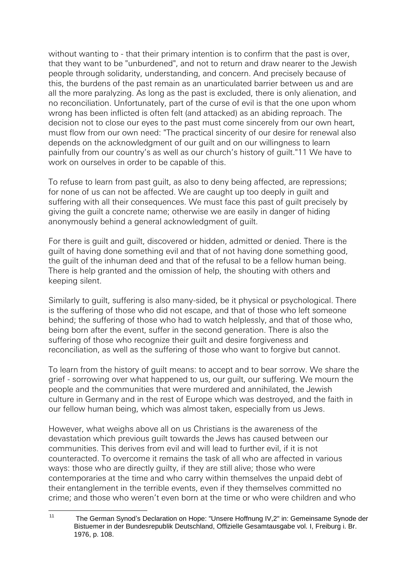without wanting to - that their primary intention is to confirm that the past is over, that they want to be "unburdened", and not to return and draw nearer to the Jewish people through solidarity, understanding, and concern. And precisely because of this, the burdens of the past remain as an unarticulated barrier between us and are all the more paralyzing. As long as the past is excluded, there is only alienation, and no reconciliation. Unfortunately, part of the curse of evil is that the one upon whom wrong has been inflicted is often felt (and attacked) as an abiding reproach. The decision not to close our eyes to the past must come sincerely from our own heart, must flow from our own need: "The practical sincerity of our desire for renewal also depends on the acknowledgment of our guilt and on our willingness to learn painfully from our country's as well as our church's history of guilt."11 We have to work on ourselves in order to be capable of this.

To refuse to learn from past guilt, as also to deny being affected, are repressions; for none of us can not be affected. We are caught up too deeply in guilt and suffering with all their consequences. We must face this past of guilt precisely by giving the guilt a concrete name; otherwise we are easily in danger of hiding anonymously behind a general acknowledgment of guilt.

For there is guilt and guilt, discovered or hidden, admitted or denied. There is the guilt of having done something evil and that of not having done something good, the guilt of the inhuman deed and that of the refusal to be a fellow human being. There is help granted and the omission of help, the shouting with others and keeping silent.

Similarly to guilt, suffering is also many-sided, be it physical or psychological. There is the suffering of those who did not escape, and that of those who left someone behind; the suffering of those who had to watch helplessly, and that of those who, being born after the event, suffer in the second generation. There is also the suffering of those who recognize their guilt and desire forgiveness and reconciliation, as well as the suffering of those who want to forgive but cannot.

To learn from the history of guilt means: to accept and to bear sorrow. We share the grief - sorrowing over what happened to us, our guilt, our suffering. We mourn the people and the communities that were murdered and annihilated, the Jewish culture in Germany and in the rest of Europe which was destroyed, and the faith in our fellow human being, which was almost taken, especially from us Jews.

However, what weighs above all on us Christians is the awareness of the devastation which previous guilt towards the Jews has caused between our communities. This derives from evil and will lead to further evil, if it is not counteracted. To overcome it remains the task of all who are affected in various ways: those who are directly guilty, if they are still alive; those who were contemporaries at the time and who carry within themselves the unpaid debt of their entanglement in the terrible events, even if they themselves committed no crime; and those who weren't even born at the time or who were children and who

 $11$ <sup>11</sup> The German Synod's Declaration on Hope: "Unsere Hoffnung IV,2" in: Gemeinsame Synode der Bistuemer in der Bundesrepublik Deutschland, Offizielle Gesamtausgabe vol. I, Freiburg i. Br. 1976, p. 108.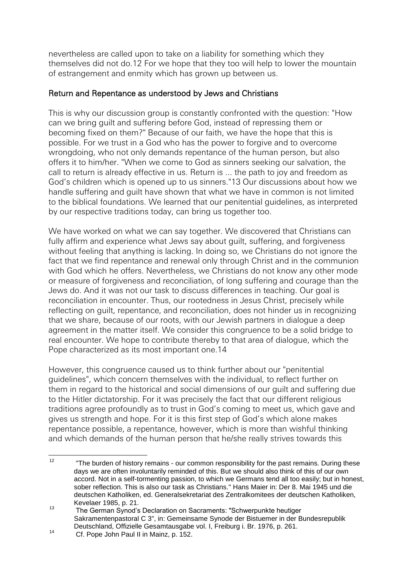nevertheless are called upon to take on a liability for something which they themselves did not do.12 For we hope that they too will help to lower the mountain of estrangement and enmity which has grown up between us.

#### Return and Repentance as understood by Jews and Christians

This is why our discussion group is constantly confronted with the question: "How can we bring guilt and suffering before God, instead of repressing them or becoming fixed on them?" Because of our faith, we have the hope that this is possible. For we trust in a God who has the power to forgive and to overcome wrongdoing, who not only demands repentance of the human person, but also offers it to him/her. "When we come to God as sinners seeking our salvation, the call to return is already effective in us. Return is ... the path to joy and freedom as God's children which is opened up to us sinners."13 Our discussions about how we handle suffering and guilt have shown that what we have in common is not limited to the biblical foundations. We learned that our penitential guidelines, as interpreted by our respective traditions today, can bring us together too.

We have worked on what we can say together. We discovered that Christians can fully affirm and experience what Jews say about guilt, suffering, and forgiveness without feeling that anything is lacking. In doing so, we Christians do not ignore the fact that we find repentance and renewal only through Christ and in the communion with God which he offers. Nevertheless, we Christians do not know any other mode or measure of forgiveness and reconciliation, of long suffering and courage than the Jews do. And it was not our task to discuss differences in teaching. Our goal is reconciliation in encounter. Thus, our rootedness in Jesus Christ, precisely while reflecting on guilt, repentance, and reconciliation, does not hinder us in recognizing that we share, because of our roots, with our Jewish partners in dialogue a deep agreement in the matter itself. We consider this congruence to be a solid bridge to real encounter. We hope to contribute thereby to that area of dialogue, which the Pope characterized as its most important one.14

However, this congruence caused us to think further about our "penitential guidelines", which concern themselves with the individual, to reflect further on them in regard to the historical and social dimensions of our guilt and suffering due to the Hitler dictatorship. For it was precisely the fact that our different religious traditions agree profoundly as to trust in God's coming to meet us, which gave and gives us strength and hope. For it is this first step of God's which alone makes repentance possible, a repentance, however, which is more than wishful thinking and which demands of the human person that he/she really strives towards this

 $12$ <sup>12</sup> "The burden of history remains - our common responsibility for the past remains. During these days we are often involuntarily reminded of this. But we should also think of this of our own accord. Not in a self-tormenting passion, to which we Germans tend all too easily; but in honest, sober reflection. This is also our task as Christians." Hans Maier in: Der 8. Mai 1945 und die deutschen Katholiken, ed. Generalsekretariat des Zentralkomitees der deutschen Katholiken, Kevelaer 1985, p. 21.

<sup>13</sup> The German Synod's Declaration on Sacraments: "Schwerpunkte heutiger Sakramentenpastoral C 3", in: Gemeinsame Synode der Bistuemer in der Bundesrepublik Deutschland, Offizielle Gesamtausgabe vol. I, Freiburg i. Br. 1976, p. 261.

<sup>14</sup> Cf. Pope John Paul II in Mainz, p. 152.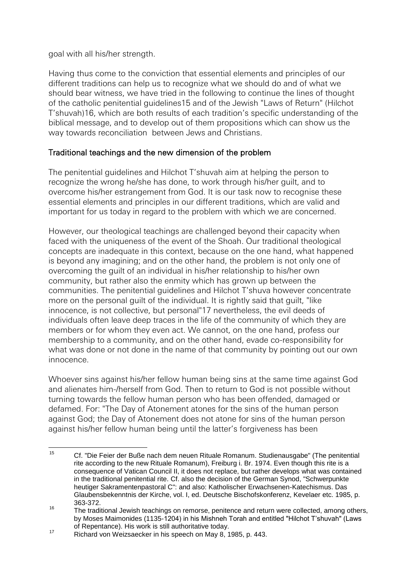goal with all his/her strength.

Having thus come to the conviction that essential elements and principles of our different traditions can help us to recognize what we should do and of what we should bear witness, we have tried in the following to continue the lines of thought of the catholic penitential guidelines15 and of the Jewish "Laws of Return" (Hilchot T'shuvah)16, which are both results of each tradition's specific understanding of the biblical message, and to develop out of them propositions which can show us the way towards reconciliation between Jews and Christians.

# Traditional teachings and the new dimension of the problem

The penitential guidelines and Hilchot T'shuvah aim at helping the person to recognize the wrong he/she has done, to work through his/her guilt, and to overcome his/her estrangement from God. It is our task now to recognise these essential elements and principles in our different traditions, which are valid and important for us today in regard to the problem with which we are concerned.

However, our theological teachings are challenged beyond their capacity when faced with the uniqueness of the event of the Shoah. Our traditional theological concepts are inadequate in this context, because on the one hand, what happened is beyond any imagining; and on the other hand, the problem is not only one of overcoming the guilt of an individual in his/her relationship to his/her own community, but rather also the enmity which has grown up between the communities. The penitential guidelines and Hilchot T'shuva however concentrate more on the personal guilt of the individual. It is rightly said that guilt, "like innocence, is not collective, but personal"17 nevertheless, the evil deeds of individuals often leave deep traces in the life of the community of which they are members or for whom they even act. We cannot, on the one hand, profess our membership to a community, and on the other hand, evade co-responsibility for what was done or not done in the name of that community by pointing out our own innocence.

Whoever sins against his/her fellow human being sins at the same time against God and alienates him-/herself from God. Then to return to God is not possible without turning towards the fellow human person who has been offended, damaged or defamed. For: "The Day of Atonement atones for the sins of the human person against God; the Day of Atonement does not atone for sins of the human person against his/her fellow human being until the latter's forgiveness has been

 $15$ <sup>15</sup> Cf. "Die Feier der Buße nach dem neuen Rituale Romanum. Studienausgabe" (The penitential rite according to the new Rituale Romanum), Freiburg i. Br. 1974. Even though this rite is a consequence of Vatican Council II, it does not replace, but rather develops what was contained in the traditional penitential rite. Cf. also the decision of the German Synod, "Schwerpunkte heutiger Sakramentenpastoral C": and also: Katholischer Erwachsenen-Katechismus. Das Glaubensbekenntnis der Kirche, vol. I, ed. Deutsche Bischofskonferenz, Kevelaer etc. 1985, p. 363-372.

<sup>&</sup>lt;sup>16</sup> The traditional Jewish teachings on remorse, penitence and return were collected, among others, by Moses Maimonides (1135-1204) in his Mishneh Torah and entitled "Hilchot T'shuvah" (Laws of Repentance). His work is still authoritative today.

<sup>17</sup> Richard von Weizsaecker in his speech on May 8, 1985, p. 443.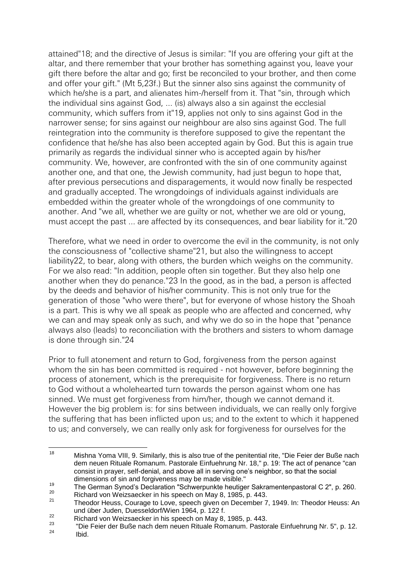attained"18; and the directive of Jesus is similar: "If you are offering your gift at the altar, and there remember that your brother has something against you, leave your gift there before the altar and go; first be reconciled to your brother, and then come and offer your gift." (Mt 5,23f.) But the sinner also sins against the community of which he/she is a part, and alienates him-/herself from it. That "sin, through which the individual sins against God, ... (is) always also a sin against the ecclesial community, which suffers from it"19, applies not only to sins against God in the narrower sense; for sins against our neighbour are also sins against God. The full reintegration into the community is therefore supposed to give the repentant the confidence that he/she has also been accepted again by God. But this is again true primarily as regards the individual sinner who is accepted again by his/her community. We, however, are confronted with the sin of one community against another one, and that one, the Jewish community, had just begun to hope that, after previous persecutions and disparagements, it would now finally be respected and gradually accepted. The wrongdoings of individuals against individuals are embedded within the greater whole of the wrongdoings of one community to another. And "we all, whether we are guilty or not, whether we are old or young, must accept the past ... are affected by its consequences, and bear liability for it."20

Therefore, what we need in order to overcome the evil in the community, is not only the consciousness of "collective shame"21, but also the willingness to accept liability22, to bear, along with others, the burden which weighs on the community. For we also read: "In addition, people often sin together. But they also help one another when they do penance."23 In the good, as in the bad, a person is affected by the deeds and behavior of his/her community. This is not only true for the generation of those "who were there", but for everyone of whose history the Shoah is a part. This is why we all speak as people who are affected and concerned, why we can and may speak only as such, and why we do so in the hope that "penance always also (leads) to reconciliation with the brothers and sisters to whom damage is done through sin."24

Prior to full atonement and return to God, forgiveness from the person against whom the sin has been committed is required - not however, before beginning the process of atonement, which is the prerequisite for forgiveness. There is no return to God without a wholehearted turn towards the person against whom one has sinned. We must get forgiveness from him/her, though we cannot demand it. However the big problem is: for sins between individuals, we can really only forgive the suffering that has been inflicted upon us; and to the extent to which it happened to us; and conversely, we can really only ask for forgiveness for ourselves for the

<sup>18</sup> <sup>18</sup> Mishna Yoma VIII, 9. Similarly, this is also true of the penitential rite, "Die Feier der Buße nach dem neuen Rituale Romanum. Pastorale Einfuehrung Nr. 18," p. 19: The act of penance "can consist in prayer, self-denial, and above all in serving one's neighbor, so that the social dimensions of sin and forgiveness may be made visible."

<sup>19&</sup>lt;br>
The German Synod's Declaration "Schwerpunkte heutiger Sakramentenpastoral C 2", p. 260.<br>
20 Disbard van Weinpool's bien bien behalte heutiger 2,443.

<sup>&</sup>lt;sup>20</sup> Richard von Weizsaecker in his speech on May 8, 1985, p. 443.<br><sup>21</sup> Theodor Hause Courage to Laure appeals times at December 7

Theodor Heuss, Courage to Love, speech given on December 7, 1949. In: Theodor Heuss: An und über Juden, Duesseldorf/Wien 1964, p. 122 f.

 $\frac{22}{23}$  Richard von Weizsaecker in his speech on May 8, 1985, p. 443.

<sup>&</sup>lt;sup>23</sup> "Die Feier der Buße nach dem neuen Rituale Romanum. Pastorale Einfuehrung Nr. 5", p. 12. Ibid.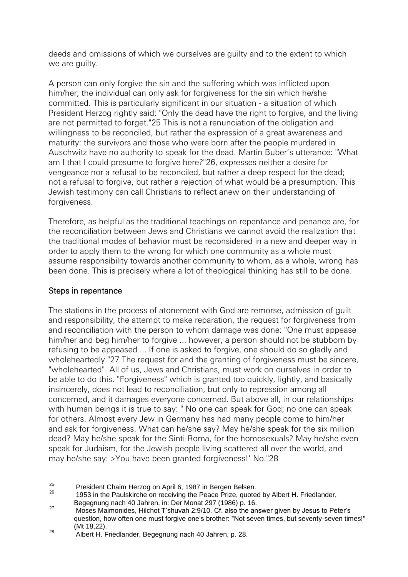deeds and omissions of which we ourselves are guilty and to the extent to which we are guilty.

A person can only forgive the sin and the suffering which was inflicted upon him/her; the individual can only ask for forgiveness for the sin which he/she committed. This is particularly significant in our situation - a situation of which President Herzog rightly said: "Only the dead have the right to forgive, and the living are not permitted to forget."25 This is not a renunciation of the obligation and willingness to be reconciled, but rather the expression of a great awareness and maturity: the survivors and those who were born after the people murdered in Auschwitz have no authority to speak for the dead. Martin Buber's utterance: "What am I that I could presume to forgive here?"26, expresses neither a desire for vengeance nor a refusal to be reconciled, but rather a deep respect for the dead; not a refusal to forgive, but rather a rejection of what would be a presumption. This Jewish testimony can call Christians to reflect anew on their understanding of forgiveness.

Therefore, as helpful as the traditional teachings on repentance and penance are, for the reconciliation between Jews and Christians we cannot avoid the realization that the traditional modes of behavior must be reconsidered in a new and deeper way in order to apply them to the wrong for which one community as a whole must assume responsibility towards another community to whom, as a whole, wrong has been done. This is precisely where a lot of theological thinking has still to be done.

#### Steps in repentance

The stations in the process of atonement with God are remorse, admission of guilt and responsibility, the attempt to make reparation, the request for forgiveness from and reconciliation with the person to whom damage was done: "One must appease him/her and beg him/her to forgive ... however, a person should not be stubborn by refusing to be appeased ... If one is asked to forgive, one should do so gladly and wholeheartedly."27 The request for and the granting of forgiveness must be sincere, "wholehearted". All of us, Jews and Christians, must work on ourselves in order to be able to do this. "Forgiveness" which is granted too quickly, lightly, and basically insincerely, does not lead to reconciliation, but only to repression among all concerned, and it damages everyone concerned. But above all, in our relationships with human beings it is true to say: " No one can speak for God; no one can speak for others. Almost every Jew in Germany has had many people come to him/her and ask for forgiveness. What can he/she say? May he/she speak for the six million dead? May he/she speak for the Sinti-Roma, for the homosexuals? May he/she even speak for Judaism, for the Jewish people living scattered all over the world, and may he/she say: >You have been granted forgiveness!' No."28

 $25$ <sup>25</sup> President Chaim Herzog on April 6, 1987 in Bergen Belsen.<br><sup>26</sup> 1953 in the Daulalizate on resolution the Decea Prize, quote

<sup>1953</sup> in the Paulskirche on receiving the Peace Prize, quoted by Albert H. Friedlander, Begegnung nach 40 Jahren, in: Der Monat 297 (1986) p. 16.

<sup>&</sup>lt;sup>27</sup> Moses Maimonides, Hilchot T'shuvah 2:9/10. Cf. also the answer given by Jesus to Peter's question, how often one must forgive one's brother: "Not seven times, but seventy-seven times!" (Mt 18,22).

<sup>&</sup>lt;sup>28</sup> Albert H. Friedlander, Begegnung nach 40 Jahren, p. 28.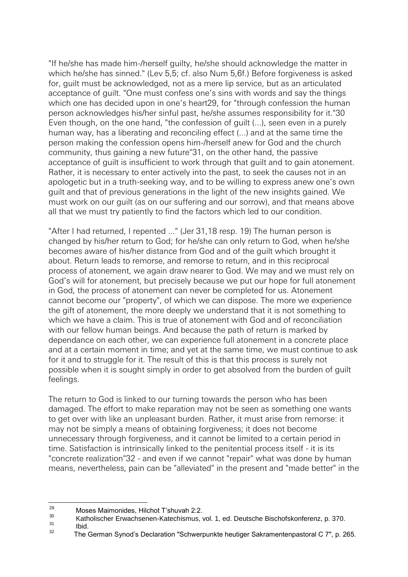"If he/she has made him-/herself guilty, he/she should acknowledge the matter in which he/she has sinned." (Lev 5,5; cf. also Num 5,6f.) Before forgiveness is asked for, guilt must be acknowledged, not as a mere lip service, but as an articulated acceptance of guilt. "One must confess one's sins with words and say the things which one has decided upon in one's heart29, for "through confession the human person acknowledges his/her sinful past, he/she assumes responsibility for it."30 Even though, on the one hand, "the confession of guilt (...), seen even in a purely human way, has a liberating and reconciling effect (...) and at the same time the person making the confession opens him-/herself anew for God and the church community, thus gaining a new future"31, on the other hand, the passive acceptance of guilt is insufficient to work through that guilt and to gain atonement. Rather, it is necessary to enter actively into the past, to seek the causes not in an apologetic but in a truth-seeking way, and to be willing to express anew one's own guilt and that of previous generations in the light of the new insights gained. We must work on our guilt (as on our suffering and our sorrow), and that means above all that we must try patiently to find the factors which led to our condition.

"After I had returned, I repented ..." (Jer 31,18 resp. 19) The human person is changed by his/her return to God; for he/she can only return to God, when he/she becomes aware of his/her distance from God and of the guilt which brought it about. Return leads to remorse, and remorse to return, and in this reciprocal process of atonement, we again draw nearer to God. We may and we must rely on God's will for atonement, but precisely because we put our hope for full atonement in God, the process of atonement can never be completed for us. Atonement cannot become our "property", of which we can dispose. The more we experience the gift of atonement, the more deeply we understand that it is not something to which we have a claim. This is true of atonement with God and of reconciliation with our fellow human beings. And because the path of return is marked by dependance on each other, we can experience full atonement in a concrete place and at a certain moment in time; and yet at the same time, we must continue to ask for it and to struggle for it. The result of this is that this process is surely not possible when it is sought simply in order to get absolved from the burden of guilt feelings.

The return to God is linked to our turning towards the person who has been damaged. The effort to make reparation may not be seen as something one wants to get over with like an unpleasant burden. Rather, it must arise from remorse: it may not be simply a means of obtaining forgiveness; it does not become unnecessary through forgiveness, and it cannot be limited to a certain period in time. Satisfaction is intrinsically linked to the penitential process itself - it is its "concrete realization"32 - and even if we cannot "repair" what was done by human means, nevertheless, pain can be "alleviated" in the present and "made better" in the

<sup>29</sup>  $^{29}$  Moses Maimonides, Hilchot T'shuvah 2:2.

 $\frac{30}{31}$  Katholischer Erwachsenen-Katechismus, vol. 1, ed. Deutsche Bischofskonferenz, p. 370.

 $\frac{31}{32}$  Ibid.

The German Synod's Declaration "Schwerpunkte heutiger Sakramentenpastoral C 7", p. 265.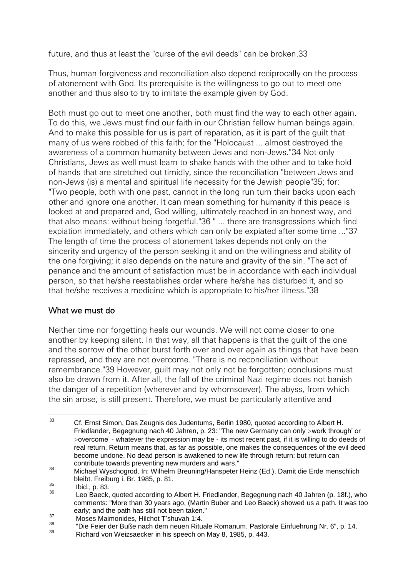future, and thus at least the "curse of the evil deeds" can be broken.33

Thus, human forgiveness and reconciliation also depend reciprocally on the process of atonement with God. Its prerequisite is the willingness to go out to meet one another and thus also to try to imitate the example given by God.

Both must go out to meet one another, both must find the way to each other again. To do this, we Jews must find our faith in our Christian fellow human beings again. And to make this possible for us is part of reparation, as it is part of the guilt that many of us were robbed of this faith; for the "Holocaust ... almost destroyed the awareness of a common humanity between Jews and non-Jews."34 Not only Christians, Jews as well must learn to shake hands with the other and to take hold of hands that are stretched out timidly, since the reconciliation "between Jews and non-Jews (is) a mental and spiritual life necessity for the Jewish people"35; for: "Two people, both with one past, cannot in the long run turn their backs upon each other and ignore one another. It can mean something for humanity if this peace is looked at and prepared and, God willing, ultimately reached in an honest way, and that also means: without being forgetful."36 " ... there are transgressions which find expiation immediately, and others which can only be expiated after some time ..."37 The length of time the process of atonement takes depends not only on the sincerity and urgency of the person seeking it and on the willingness and ability of the one forgiving; it also depends on the nature and gravity of the sin. "The act of penance and the amount of satisfaction must be in accordance with each individual person, so that he/she reestablishes order where he/she has disturbed it, and so that he/she receives a medicine which is appropriate to his/her illness."38

# What we must do

Neither time nor forgetting heals our wounds. We will not come closer to one another by keeping silent. In that way, all that happens is that the guilt of the one and the sorrow of the other burst forth over and over again as things that have been repressed, and they are not overcome. "There is no reconciliation without remembrance."39 However, guilt may not only not be forgotten; conclusions must also be drawn from it. After all, the fall of the criminal Nazi regime does not banish the danger of a repetition (wherever and by whomsoever). The abyss, from which the sin arose, is still present. Therefore, we must be particularly attentive and

 $33$ <sup>33</sup> Cf. Ernst Simon, Das Zeugnis des Judentums, Berlin 1980, quoted according to Albert H. Friedlander, Begegnung nach 40 Jahren, p. 23: "The new Germany can only >work through' or >overcome' - whatever the expression may be - its most recent past, if it is willing to do deeds of real return. Return means that, as far as possible, one makes the consequences of the evil deed become undone. No dead person is awakened to new life through return; but return can contribute towards preventing new murders and wars."

<sup>34</sup> Michael Wyschogrod. In: Wilhelm Breuning/Hanspeter Heinz (Ed.), Damit die Erde menschlich bleibt. Freiburg i. Br. 1985, p. 81.

 $rac{35}{36}$  Ibid., p. 83.

Leo Baeck, quoted according to Albert H. Friedlander, Begegnung nach 40 Jahren (p. 18f.), who comments: "More than 30 years ago, (Martin Buber and Leo Baeck) showed us a path. It was too early; and the path has still not been taken."

<sup>&</sup>lt;sup>37</sup> Moses Maimonides, Hilchot T'shuvah 1:4.

<sup>38</sup> "Die Feier der Buße nach dem neuen Rituale Romanum. Pastorale Einfuehrung Nr. 6", p. 14.

Richard von Weizsaecker in his speech on May 8, 1985, p. 443.